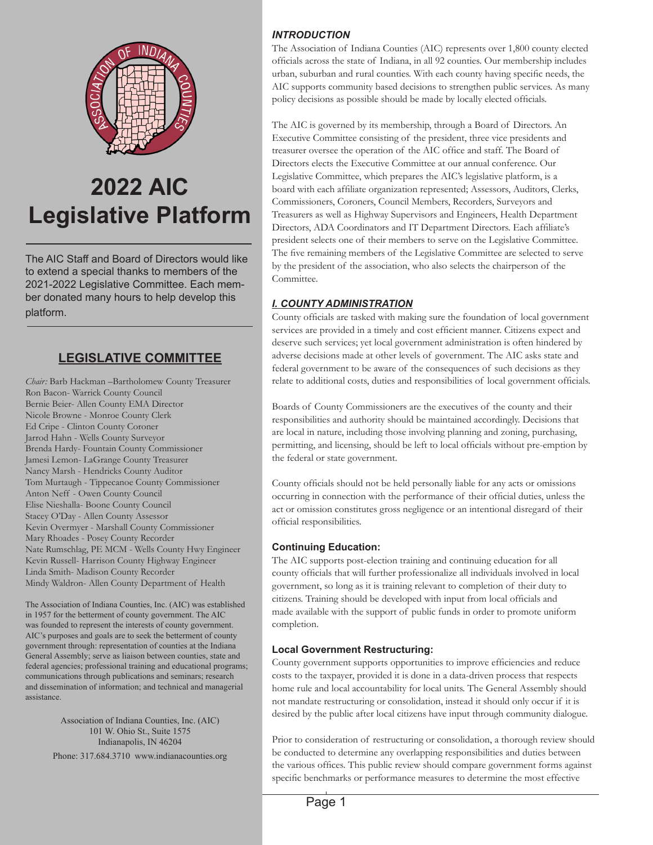

# **2022 AIC Legislative Platform**

The AIC Staff and Board of Directors would like to extend a special thanks to members of the 2021-2022 Legislative Committee. Each member donated many hours to help develop this platform.

# **LEGISLATIVE COMMITTEE**

*Chair:* Barb Hackman –Bartholomew County Treasurer Ron Bacon- Warrick County Council Bernie Beier- Allen County EMA Director Nicole Browne - Monroe County Clerk Ed Cripe - Clinton County Coroner Jarrod Hahn - Wells County Surveyor Brenda Hardy- Fountain County Commissioner Jamesi Lemon- LaGrange County Treasurer Nancy Marsh - Hendricks County Auditor Tom Murtaugh - Tippecanoe County Commissioner Anton Neff - Owen County Council Elise Nieshalla- Boone County Council Stacey O'Day - Allen County Assessor Kevin Overmyer - Marshall County Commissioner Mary Rhoades - Posey County Recorder Nate Rumschlag, PE MCM - Wells County Hwy Engineer Kevin Russell- Harrison County Highway Engineer Linda Smith- Madison County Recorder Mindy Waldron- Allen County Department of Health

The Association of Indiana Counties, Inc. (AIC) was established in 1957 for the betterment of county government. The AIC was founded to represent the interests of county government. AIC's purposes and goals are to seek the betterment of county government through: representation of counties at the Indiana General Assembly; serve as liaison between counties, state and federal agencies; professional training and educational programs; communications through publications and seminars; research and dissemination of information; and technical and managerial assistance.

> Association of Indiana Counties, Inc. (AIC) 101 W. Ohio St., Suite 1575 Indianapolis, IN 46204

Phone: 317.684.3710 www.indianacounties.org

#### *INTRODUCTION*

The Association of Indiana Counties (AIC) represents over 1,800 county elected officials across the state of Indiana, in all 92 counties. Our membership includes urban, suburban and rural counties. With each county having specific needs, the AIC supports community based decisions to strengthen public services. As many policy decisions as possible should be made by locally elected officials.

The AIC is governed by its membership, through a Board of Directors. An Executive Committee consisting of the president, three vice presidents and treasurer oversee the operation of the AIC office and staff. The Board of Directors elects the Executive Committee at our annual conference. Our Legislative Committee, which prepares the AIC's legislative platform, is a board with each affiliate organization represented; Assessors, Auditors, Clerks, Commissioners, Coroners, Council Members, Recorders, Surveyors and Treasurers as well as Highway Supervisors and Engineers, Health Department Directors, ADA Coordinators and IT Department Directors. Each affiliate's president selects one of their members to serve on the Legislative Committee. The five remaining members of the Legislative Committee are selected to serve by the president of the association, who also selects the chairperson of the Committee.

#### *I. COUNTY ADMINISTRATION*

County officials are tasked with making sure the foundation of local government services are provided in a timely and cost efficient manner. Citizens expect and deserve such services; yet local government administration is often hindered by adverse decisions made at other levels of government. The AIC asks state and federal government to be aware of the consequences of such decisions as they relate to additional costs, duties and responsibilities of local government officials.

Boards of County Commissioners are the executives of the county and their responsibilities and authority should be maintained accordingly. Decisions that are local in nature, including those involving planning and zoning, purchasing, permitting, and licensing, should be left to local officials without pre-emption by the federal or state government.

County officials should not be held personally liable for any acts or omissions occurring in connection with the performance of their official duties, unless the act or omission constitutes gross negligence or an intentional disregard of their official responsibilities.

#### **Continuing Education:**

The AIC supports post-election training and continuing education for all county officials that will further professionalize all individuals involved in local government, so long as it is training relevant to completion of their duty to citizens. Training should be developed with input from local officials and made available with the support of public funds in order to promote uniform completion.

#### **Local Government Restructuring:**

County government supports opportunities to improve efficiencies and reduce costs to the taxpayer, provided it is done in a data-driven process that respects home rule and local accountability for local units. The General Assembly should not mandate restructuring or consolidation, instead it should only occur if it is desired by the public after local citizens have input through community dialogue.

Prior to consideration of restructuring or consolidation, a thorough review should be conducted to determine any overlapping responsibilities and duties between the various offices. This public review should compare government forms against specific benchmarks or performance measures to determine the most effective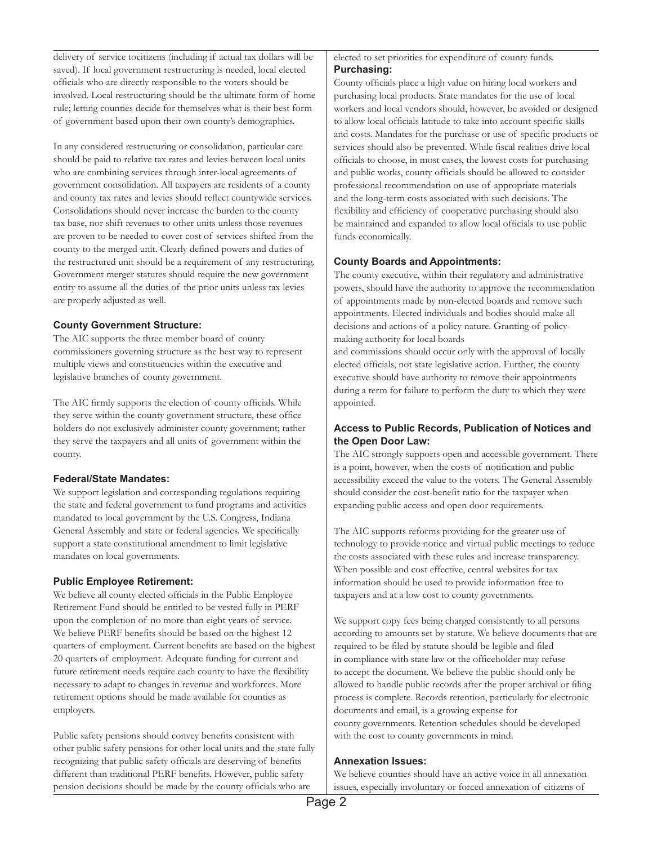delivery of service tocitizens (including if actual tax dollars will be saved). If local government restructuring is needed, local elected officials who are directly responsible to the voters should be involved. Local restructuring should be the ultimate form of home rule; letting counties decide for themselves what is their best form of government based upon their own county's demographics.

In any considered restructuring or consolidation, particular care should be paid to relative tax rates and levies between local units who are combining services through inter-local agreements of government consolidation. All taxpayers are residents of a county and county tax rates and levies should reflect countywide services. Consolidations should never increase the burden to the county tax base, nor shift revenues to other units unless those revenues are proven to be needed to cover cost of services shifted from the county to the merged unit. Clearly defined powers and duties of the restructured unit should be a requirement of any restructuring. Government merger statutes should require the new government entity to assume all the duties of the prior units unless tax levies are properly adjusted as well.

#### **County Government Structure:**

The AIC supports the three member board of county commissioners governing structure as the best way to represent multiple views and constituencies within the executive and legislative branches of county government.

The AIC firmly supports the election of county officials. While they serve within the county government structure, these office holders do not exclusively administer county government; rather they serve the taxpayers and all units of government within the county.

#### **Federal/State Mandates:**

We support legislation and corresponding regulations requiring the state and federal government to fund programs and activities mandated to local government by the U.S. Congress, Indiana General Assembly and state or federal agencies. We specifically support a state constitutional amendment to limit legislative mandates on local governments.

#### **Public Employee Retirement:**

We believe all county elected officials in the Public Employee Retirement Fund should be entitled to be vested fully in PERF upon the completion of no more than eight years of service. We believe PERF benefits should be based on the highest 12 quarters of employment. Current benefits are based on the highest 20 quarters of employment. Adequate funding for current and future retirement needs require each county to have the flexibility necessary to adapt to changes in revenue and workforces. More retirement options should be made available for counties as employers.

Public safety pensions should convey benefits consistent with other public safety pensions for other local units and the state fully recognizing that public safety officials are deserving of benefits different than traditional PERF benefits. However, public safety pension decisions should be made by the county officials who are

#### elected to set priorities for expenditure of county funds. **Purchasing:**

County officials place a high value on hiring local workers and purchasing local products. State mandates for the use of local workers and local vendors should, however, be avoided or designed to allow local officials latitude to take into account specific skills and costs. Mandates for the purchase or use of specific products or services should also be prevented. While fiscal realities drive local officials to choose, in most cases, the lowest costs for purchasing and public works, county officials should be allowed to consider professional recommendation on use of appropriate materials and the long-term costs associated with such decisions. The flexibility and efficiency of cooperative purchasing should also be maintained and expanded to allow local officials to use public funds economically.

#### **County Boards and Appointments:**

The county executive, within their regulatory and administrative powers, should have the authority to approve the recommendation of appointments made by non-elected boards and remove such appointments. Elected individuals and bodies should make all decisions and actions of a policy nature. Granting of policymaking authority for local boards

and commissions should occur only with the approval of locally elected officials, not state legislative action. Further, the county executive should have authority to remove their appointments during a term for failure to perform the duty to which they were appointed.

#### **Access to Public Records, Publication of Notices and the Open Door Law:**

The AIC strongly supports open and accessible government. There is a point, however, when the costs of notification and public accessibility exceed the value to the voters. The General Assembly should consider the cost-benefit ratio for the taxpayer when expanding public access and open door requirements.

The AIC supports reforms providing for the greater use of technology to provide notice and virtual public meetings to reduce the costs associated with these rules and increase transparency. When possible and cost effective, central websites for tax information should be used to provide information free to taxpayers and at a low cost to county governments.

We support copy fees being charged consistently to all persons according to amounts set by statute. We believe documents that are required to be filed by statute should be legible and filed in compliance with state law or the officeholder may refuse to accept the document. We believe the public should only be allowed to handle public records after the proper archival or filing process is complete. Records retention, particularly for electronic documents and email, is a growing expense for county governments. Retention schedules should be developed with the cost to county governments in mind.

#### **Annexation Issues:**

We believe counties should have an active voice in all annexation issues, especially involuntary or forced annexation of citizens of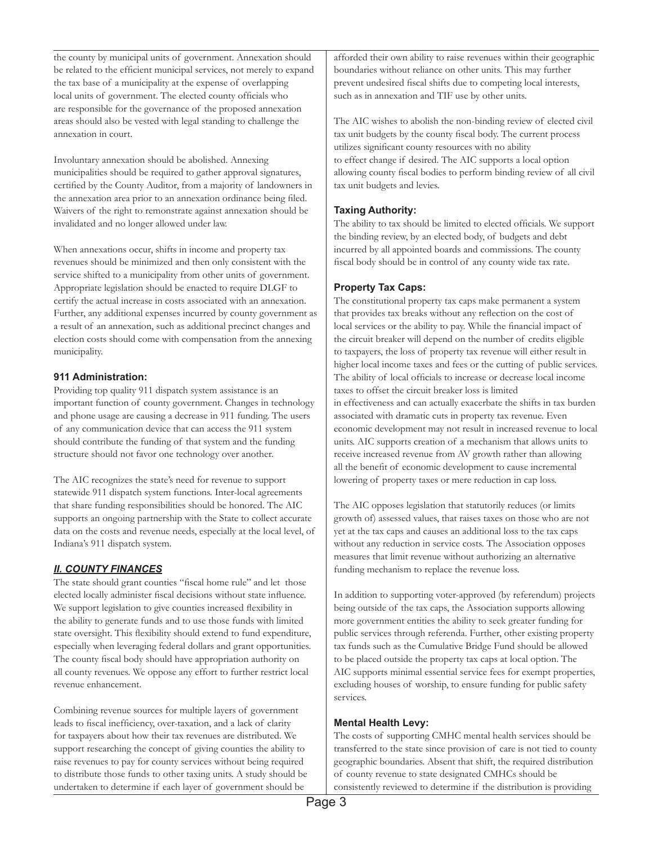the county by municipal units of government. Annexation should be related to the efficient municipal services, not merely to expand the tax base of a municipality at the expense of overlapping local units of government. The elected county officials who are responsible for the governance of the proposed annexation areas should also be vested with legal standing to challenge the annexation in court.

Involuntary annexation should be abolished. Annexing municipalities should be required to gather approval signatures, certified by the County Auditor, from a majority of landowners in the annexation area prior to an annexation ordinance being filed. Waivers of the right to remonstrate against annexation should be invalidated and no longer allowed under law.

When annexations occur, shifts in income and property tax revenues should be minimized and then only consistent with the service shifted to a municipality from other units of government. Appropriate legislation should be enacted to require DLGF to certify the actual increase in costs associated with an annexation. Further, any additional expenses incurred by county government as a result of an annexation, such as additional precinct changes and election costs should come with compensation from the annexing municipality.

#### **911 Administration:**

Providing top quality 911 dispatch system assistance is an important function of county government. Changes in technology and phone usage are causing a decrease in 911 funding. The users of any communication device that can access the 911 system should contribute the funding of that system and the funding structure should not favor one technology over another.

The AIC recognizes the state's need for revenue to support statewide 911 dispatch system functions. Inter-local agreements that share funding responsibilities should be honored. The AIC supports an ongoing partnership with the State to collect accurate data on the costs and revenue needs, especially at the local level, of Indiana's 911 dispatch system.

#### *II. COUNTY FINANCES*

The state should grant counties "fiscal home rule" and let those elected locally administer fiscal decisions without state influence. We support legislation to give counties increased flexibility in the ability to generate funds and to use those funds with limited state oversight. This flexibility should extend to fund expenditure, especially when leveraging federal dollars and grant opportunities. The county fiscal body should have appropriation authority on all county revenues. We oppose any effort to further restrict local revenue enhancement.

Combining revenue sources for multiple layers of government leads to fiscal inefficiency, over-taxation, and a lack of clarity for taxpayers about how their tax revenues are distributed. We support researching the concept of giving counties the ability to raise revenues to pay for county services without being required to distribute those funds to other taxing units. A study should be undertaken to determine if each layer of government should be

afforded their own ability to raise revenues within their geographic boundaries without reliance on other units. This may further prevent undesired fiscal shifts due to competing local interests, such as in annexation and TIF use by other units.

The AIC wishes to abolish the non-binding review of elected civil tax unit budgets by the county fiscal body. The current process utilizes significant county resources with no ability to effect change if desired. The AIC supports a local option allowing county fiscal bodies to perform binding review of all civil tax unit budgets and levies.

#### **Taxing Authority:**

The ability to tax should be limited to elected officials. We support the binding review, by an elected body, of budgets and debt incurred by all appointed boards and commissions. The county fiscal body should be in control of any county wide tax rate.

#### **Property Tax Caps:**

The constitutional property tax caps make permanent a system that provides tax breaks without any reflection on the cost of local services or the ability to pay. While the financial impact of the circuit breaker will depend on the number of credits eligible to taxpayers, the loss of property tax revenue will either result in higher local income taxes and fees or the cutting of public services. The ability of local officials to increase or decrease local income taxes to offset the circuit breaker loss is limited in effectiveness and can actually exacerbate the shifts in tax burden associated with dramatic cuts in property tax revenue. Even economic development may not result in increased revenue to local units. AIC supports creation of a mechanism that allows units to receive increased revenue from AV growth rather than allowing all the benefit of economic development to cause incremental lowering of property taxes or mere reduction in cap loss.

The AIC opposes legislation that statutorily reduces (or limits growth of) assessed values, that raises taxes on those who are not yet at the tax caps and causes an additional loss to the tax caps without any reduction in service costs. The Association opposes measures that limit revenue without authorizing an alternative funding mechanism to replace the revenue loss.

In addition to supporting voter-approved (by referendum) projects being outside of the tax caps, the Association supports allowing more government entities the ability to seek greater funding for public services through referenda. Further, other existing property tax funds such as the Cumulative Bridge Fund should be allowed to be placed outside the property tax caps at local option. The AIC supports minimal essential service fees for exempt properties, excluding houses of worship, to ensure funding for public safety services.

#### **Mental Health Levy:**

The costs of supporting CMHC mental health services should be transferred to the state since provision of care is not tied to county geographic boundaries. Absent that shift, the required distribution of county revenue to state designated CMHCs should be consistently reviewed to determine if the distribution is providing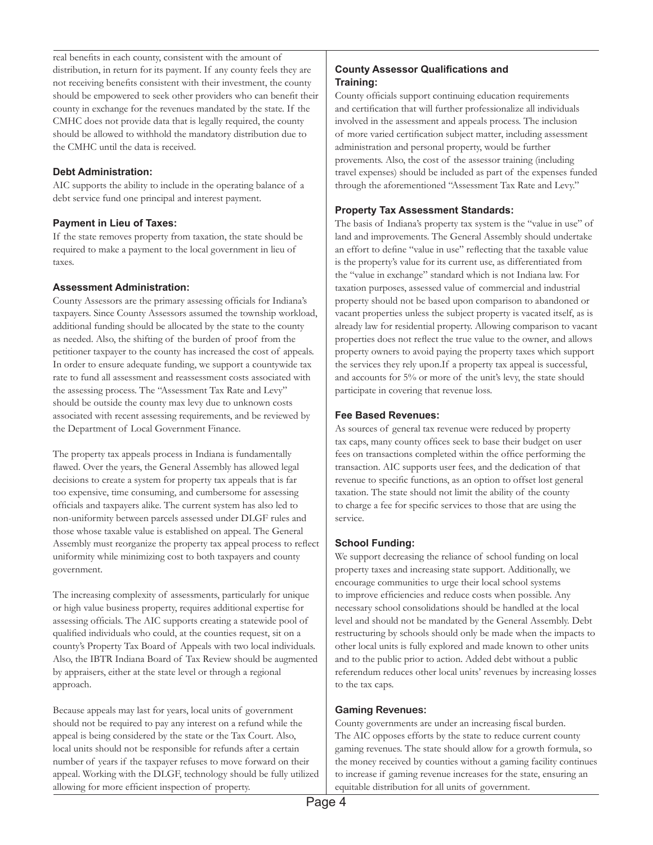real benefits in each county, consistent with the amount of distribution, in return for its payment. If any county feels they are not receiving benefits consistent with their investment, the county should be empowered to seek other providers who can benefit their county in exchange for the revenues mandated by the state. If the CMHC does not provide data that is legally required, the county should be allowed to withhold the mandatory distribution due to the CMHC until the data is received.

#### **Debt Administration:**

AIC supports the ability to include in the operating balance of a debt service fund one principal and interest payment.

#### **Payment in Lieu of Taxes:**

If the state removes property from taxation, the state should be required to make a payment to the local government in lieu of taxes.

#### **Assessment Administration:**

County Assessors are the primary assessing officials for Indiana's taxpayers. Since County Assessors assumed the township workload, additional funding should be allocated by the state to the county as needed. Also, the shifting of the burden of proof from the petitioner taxpayer to the county has increased the cost of appeals. In order to ensure adequate funding, we support a countywide tax rate to fund all assessment and reassessment costs associated with the assessing process. The "Assessment Tax Rate and Levy" should be outside the county max levy due to unknown costs associated with recent assessing requirements, and be reviewed by the Department of Local Government Finance.

The property tax appeals process in Indiana is fundamentally flawed. Over the years, the General Assembly has allowed legal decisions to create a system for property tax appeals that is far too expensive, time consuming, and cumbersome for assessing officials and taxpayers alike. The current system has also led to non-uniformity between parcels assessed under DLGF rules and those whose taxable value is established on appeal. The General Assembly must reorganize the property tax appeal process to reflect uniformity while minimizing cost to both taxpayers and county government.

The increasing complexity of assessments, particularly for unique or high value business property, requires additional expertise for assessing officials. The AIC supports creating a statewide pool of qualified individuals who could, at the counties request, sit on a county's Property Tax Board of Appeals with two local individuals. Also, the IBTR Indiana Board of Tax Review should be augmented by appraisers, either at the state level or through a regional approach.

Because appeals may last for years, local units of government should not be required to pay any interest on a refund while the appeal is being considered by the state or the Tax Court. Also, local units should not be responsible for refunds after a certain number of years if the taxpayer refuses to move forward on their appeal. Working with the DLGF, technology should be fully utilized allowing for more efficient inspection of property.

#### **County Assessor Qualifications and Training:**

County officials support continuing education requirements and certification that will further professionalize all individuals involved in the assessment and appeals process. The inclusion of more varied certification subject matter, including assessment administration and personal property, would be further provements. Also, the cost of the assessor training (including travel expenses) should be included as part of the expenses funded through the aforementioned "Assessment Tax Rate and Levy."

#### **Property Tax Assessment Standards:**

The basis of Indiana's property tax system is the "value in use" of land and improvements. The General Assembly should undertake an effort to define "value in use" reflecting that the taxable value is the property's value for its current use, as differentiated from the "value in exchange" standard which is not Indiana law. For taxation purposes, assessed value of commercial and industrial property should not be based upon comparison to abandoned or vacant properties unless the subject property is vacated itself, as is already law for residential property. Allowing comparison to vacant properties does not reflect the true value to the owner, and allows property owners to avoid paying the property taxes which support the services they rely upon.If a property tax appeal is successful, and accounts for 5% or more of the unit's levy, the state should participate in covering that revenue loss.

#### **Fee Based Revenues:**

As sources of general tax revenue were reduced by property tax caps, many county offices seek to base their budget on user fees on transactions completed within the office performing the transaction. AIC supports user fees, and the dedication of that revenue to specific functions, as an option to offset lost general taxation. The state should not limit the ability of the county to charge a fee for specific services to those that are using the service.

#### **School Funding:**

We support decreasing the reliance of school funding on local property taxes and increasing state support. Additionally, we encourage communities to urge their local school systems to improve efficiencies and reduce costs when possible. Any necessary school consolidations should be handled at the local level and should not be mandated by the General Assembly. Debt restructuring by schools should only be made when the impacts to other local units is fully explored and made known to other units and to the public prior to action. Added debt without a public referendum reduces other local units' revenues by increasing losses to the tax caps.

#### **Gaming Revenues:**

County governments are under an increasing fiscal burden. The AIC opposes efforts by the state to reduce current county gaming revenues. The state should allow for a growth formula, so the money received by counties without a gaming facility continues to increase if gaming revenue increases for the state, ensuring an equitable distribution for all units of government.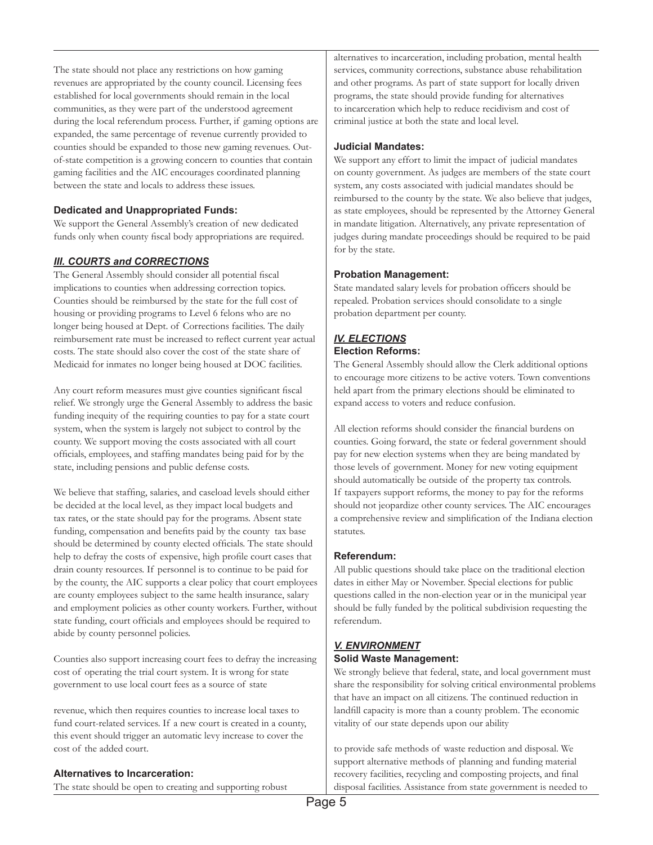The state should not place any restrictions on how gaming revenues are appropriated by the county council. Licensing fees established for local governments should remain in the local communities, as they were part of the understood agreement during the local referendum process. Further, if gaming options are expanded, the same percentage of revenue currently provided to counties should be expanded to those new gaming revenues. Outof-state competition is a growing concern to counties that contain gaming facilities and the AIC encourages coordinated planning between the state and locals to address these issues.

#### **Dedicated and Unappropriated Funds:**

We support the General Assembly's creation of new dedicated funds only when county fiscal body appropriations are required.

#### *III. COURTS and CORRECTIONS*

The General Assembly should consider all potential fiscal implications to counties when addressing correction topics. Counties should be reimbursed by the state for the full cost of housing or providing programs to Level 6 felons who are no longer being housed at Dept. of Corrections facilities. The daily reimbursement rate must be increased to reflect current year actual costs. The state should also cover the cost of the state share of Medicaid for inmates no longer being housed at DOC facilities.

Any court reform measures must give counties significant fiscal relief. We strongly urge the General Assembly to address the basic funding inequity of the requiring counties to pay for a state court system, when the system is largely not subject to control by the county. We support moving the costs associated with all court officials, employees, and staffing mandates being paid for by the state, including pensions and public defense costs.

We believe that staffing, salaries, and caseload levels should either be decided at the local level, as they impact local budgets and tax rates, or the state should pay for the programs. Absent state funding, compensation and benefits paid by the county tax base should be determined by county elected officials. The state should help to defray the costs of expensive, high profile court cases that drain county resources. If personnel is to continue to be paid for by the county, the AIC supports a clear policy that court employees are county employees subject to the same health insurance, salary and employment policies as other county workers. Further, without state funding, court officials and employees should be required to abide by county personnel policies.

Counties also support increasing court fees to defray the increasing cost of operating the trial court system. It is wrong for state government to use local court fees as a source of state

revenue, which then requires counties to increase local taxes to fund court-related services. If a new court is created in a county, this event should trigger an automatic levy increase to cover the cost of the added court.

### **Alternatives to Incarceration:**

The state should be open to creating and supporting robust

alternatives to incarceration, including probation, mental health services, community corrections, substance abuse rehabilitation and other programs. As part of state support for locally driven programs, the state should provide funding for alternatives to incarceration which help to reduce recidivism and cost of criminal justice at both the state and local level.

#### **Judicial Mandates:**

We support any effort to limit the impact of judicial mandates on county government. As judges are members of the state court system, any costs associated with judicial mandates should be reimbursed to the county by the state. We also believe that judges, as state employees, should be represented by the Attorney General in mandate litigation. Alternatively, any private representation of judges during mandate proceedings should be required to be paid for by the state.

#### **Probation Management:**

State mandated salary levels for probation officers should be repealed. Probation services should consolidate to a single probation department per county.

#### *IV. ELECTIONS* **Election Reforms:**

The General Assembly should allow the Clerk additional options

to encourage more citizens to be active voters. Town conventions held apart from the primary elections should be eliminated to expand access to voters and reduce confusion.

All election reforms should consider the financial burdens on counties. Going forward, the state or federal government should pay for new election systems when they are being mandated by those levels of government. Money for new voting equipment should automatically be outside of the property tax controls. If taxpayers support reforms, the money to pay for the reforms should not jeopardize other county services. The AIC encourages a comprehensive review and simplification of the Indiana election statutes.

#### **Referendum:**

All public questions should take place on the traditional election dates in either May or November. Special elections for public questions called in the non-election year or in the municipal year should be fully funded by the political subdivision requesting the referendum.

#### *V. ENVIRONMENT* **Solid Waste Management:**

We strongly believe that federal, state, and local government must share the responsibility for solving critical environmental problems that have an impact on all citizens. The continued reduction in landfill capacity is more than a county problem. The economic vitality of our state depends upon our ability

to provide safe methods of waste reduction and disposal. We support alternative methods of planning and funding material recovery facilities, recycling and composting projects, and final disposal facilities. Assistance from state government is needed to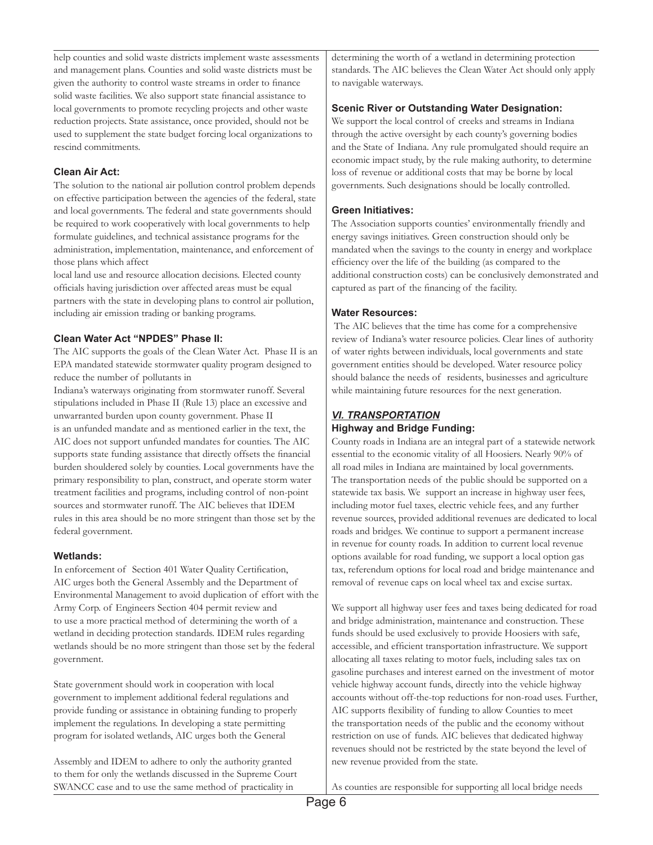help counties and solid waste districts implement waste assessments and management plans. Counties and solid waste districts must be given the authority to control waste streams in order to finance solid waste facilities. We also support state financial assistance to local governments to promote recycling projects and other waste reduction projects. State assistance, once provided, should not be used to supplement the state budget forcing local organizations to rescind commitments.

#### **Clean Air Act:**

The solution to the national air pollution control problem depends on effective participation between the agencies of the federal, state and local governments. The federal and state governments should be required to work cooperatively with local governments to help formulate guidelines, and technical assistance programs for the administration, implementation, maintenance, and enforcement of those plans which affect

local land use and resource allocation decisions. Elected county officials having jurisdiction over affected areas must be equal partners with the state in developing plans to control air pollution, including air emission trading or banking programs.

#### **Clean Water Act "NPDES" Phase II:**

The AIC supports the goals of the Clean Water Act. Phase II is an EPA mandated statewide stormwater quality program designed to reduce the number of pollutants in

Indiana's waterways originating from stormwater runoff. Several stipulations included in Phase II (Rule 13) place an excessive and unwarranted burden upon county government. Phase II is an unfunded mandate and as mentioned earlier in the text, the AIC does not support unfunded mandates for counties. The AIC supports state funding assistance that directly offsets the financial burden shouldered solely by counties. Local governments have the primary responsibility to plan, construct, and operate storm water treatment facilities and programs, including control of non-point sources and stormwater runoff. The AIC believes that IDEM rules in this area should be no more stringent than those set by the federal government.

#### **Wetlands:**

In enforcement of Section 401 Water Quality Certification, AIC urges both the General Assembly and the Department of Environmental Management to avoid duplication of effort with the Army Corp. of Engineers Section 404 permit review and to use a more practical method of determining the worth of a wetland in deciding protection standards. IDEM rules regarding wetlands should be no more stringent than those set by the federal government.

State government should work in cooperation with local government to implement additional federal regulations and provide funding or assistance in obtaining funding to properly implement the regulations. In developing a state permitting program for isolated wetlands, AIC urges both the General

Assembly and IDEM to adhere to only the authority granted to them for only the wetlands discussed in the Supreme Court SWANCC case and to use the same method of practicality in

determining the worth of a wetland in determining protection standards. The AIC believes the Clean Water Act should only apply to navigable waterways.

#### **Scenic River or Outstanding Water Designation:**

We support the local control of creeks and streams in Indiana through the active oversight by each county's governing bodies and the State of Indiana. Any rule promulgated should require an economic impact study, by the rule making authority, to determine loss of revenue or additional costs that may be borne by local governments. Such designations should be locally controlled.

#### **Green Initiatives:**

The Association supports counties' environmentally friendly and energy savings initiatives. Green construction should only be mandated when the savings to the county in energy and workplace efficiency over the life of the building (as compared to the additional construction costs) can be conclusively demonstrated and captured as part of the financing of the facility.

#### **Water Resources:**

 The AIC believes that the time has come for a comprehensive review of Indiana's water resource policies. Clear lines of authority of water rights between individuals, local governments and state government entities should be developed. Water resource policy should balance the needs of residents, businesses and agriculture while maintaining future resources for the next generation.

# *VI. TRANSPORTATION*

# **Highway and Bridge Funding:**

County roads in Indiana are an integral part of a statewide network essential to the economic vitality of all Hoosiers. Nearly 90% of all road miles in Indiana are maintained by local governments. The transportation needs of the public should be supported on a statewide tax basis. We support an increase in highway user fees, including motor fuel taxes, electric vehicle fees, and any further revenue sources, provided additional revenues are dedicated to local roads and bridges. We continue to support a permanent increase in revenue for county roads. In addition to current local revenue options available for road funding, we support a local option gas tax, referendum options for local road and bridge maintenance and removal of revenue caps on local wheel tax and excise surtax.

We support all highway user fees and taxes being dedicated for road and bridge administration, maintenance and construction. These funds should be used exclusively to provide Hoosiers with safe, accessible, and efficient transportation infrastructure. We support allocating all taxes relating to motor fuels, including sales tax on gasoline purchases and interest earned on the investment of motor vehicle highway account funds, directly into the vehicle highway accounts without off-the-top reductions for non-road uses. Further, AIC supports flexibility of funding to allow Counties to meet the transportation needs of the public and the economy without restriction on use of funds. AIC believes that dedicated highway revenues should not be restricted by the state beyond the level of new revenue provided from the state.

As counties are responsible for supporting all local bridge needs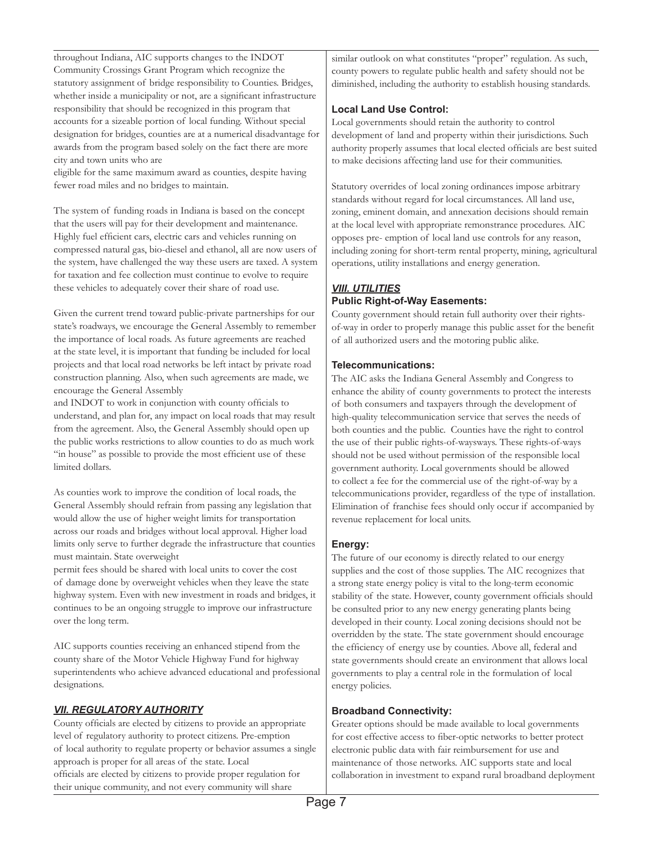throughout Indiana, AIC supports changes to the INDOT Community Crossings Grant Program which recognize the statutory assignment of bridge responsibility to Counties. Bridges, whether inside a municipality or not, are a significant infrastructure responsibility that should be recognized in this program that accounts for a sizeable portion of local funding. Without special designation for bridges, counties are at a numerical disadvantage for awards from the program based solely on the fact there are more city and town units who are

eligible for the same maximum award as counties, despite having fewer road miles and no bridges to maintain.

The system of funding roads in Indiana is based on the concept that the users will pay for their development and maintenance. Highly fuel efficient cars, electric cars and vehicles running on compressed natural gas, bio-diesel and ethanol, all are now users of the system, have challenged the way these users are taxed. A system for taxation and fee collection must continue to evolve to require these vehicles to adequately cover their share of road use.

Given the current trend toward public-private partnerships for our state's roadways, we encourage the General Assembly to remember the importance of local roads. As future agreements are reached at the state level, it is important that funding be included for local projects and that local road networks be left intact by private road construction planning. Also, when such agreements are made, we encourage the General Assembly

and INDOT to work in conjunction with county officials to understand, and plan for, any impact on local roads that may result from the agreement. Also, the General Assembly should open up the public works restrictions to allow counties to do as much work "in house" as possible to provide the most efficient use of these limited dollars.

As counties work to improve the condition of local roads, the General Assembly should refrain from passing any legislation that would allow the use of higher weight limits for transportation across our roads and bridges without local approval. Higher load limits only serve to further degrade the infrastructure that counties must maintain. State overweight

permit fees should be shared with local units to cover the cost of damage done by overweight vehicles when they leave the state highway system. Even with new investment in roads and bridges, it continues to be an ongoing struggle to improve our infrastructure over the long term.

AIC supports counties receiving an enhanced stipend from the county share of the Motor Vehicle Highway Fund for highway superintendents who achieve advanced educational and professional designations.

#### *VII. REGULATORY AUTHORITY*

County officials are elected by citizens to provide an appropriate level of regulatory authority to protect citizens. Pre-emption of local authority to regulate property or behavior assumes a single approach is proper for all areas of the state. Local officials are elected by citizens to provide proper regulation for their unique community, and not every community will share

similar outlook on what constitutes "proper" regulation. As such, county powers to regulate public health and safety should not be diminished, including the authority to establish housing standards.

#### **Local Land Use Control:**

Local governments should retain the authority to control development of land and property within their jurisdictions. Such authority properly assumes that local elected officials are best suited to make decisions affecting land use for their communities.

Statutory overrides of local zoning ordinances impose arbitrary standards without regard for local circumstances. All land use, zoning, eminent domain, and annexation decisions should remain at the local level with appropriate remonstrance procedures. AIC opposes pre- emption of local land use controls for any reason, including zoning for short-term rental property, mining, agricultural operations, utility installations and energy generation.

## *VIII. UTILITIES* **Public Right-of-Way Easements:**

County government should retain full authority over their rightsof-way in order to properly manage this public asset for the benefit of all authorized users and the motoring public alike.

#### **Telecommunications:**

The AIC asks the Indiana General Assembly and Congress to enhance the ability of county governments to protect the interests of both consumers and taxpayers through the development of high-quality telecommunication service that serves the needs of both counties and the public. Counties have the right to control the use of their public rights-of-waysways. These rights-of-ways should not be used without permission of the responsible local government authority. Local governments should be allowed to collect a fee for the commercial use of the right-of-way by a telecommunications provider, regardless of the type of installation. Elimination of franchise fees should only occur if accompanied by revenue replacement for local units.

#### **Energy:**

The future of our economy is directly related to our energy supplies and the cost of those supplies. The AIC recognizes that a strong state energy policy is vital to the long-term economic stability of the state. However, county government officials should be consulted prior to any new energy generating plants being developed in their county. Local zoning decisions should not be overridden by the state. The state government should encourage the efficiency of energy use by counties. Above all, federal and state governments should create an environment that allows local governments to play a central role in the formulation of local energy policies.

#### **Broadband Connectivity:**

Greater options should be made available to local governments for cost effective access to fiber-optic networks to better protect electronic public data with fair reimbursement for use and maintenance of those networks. AIC supports state and local collaboration in investment to expand rural broadband deployment